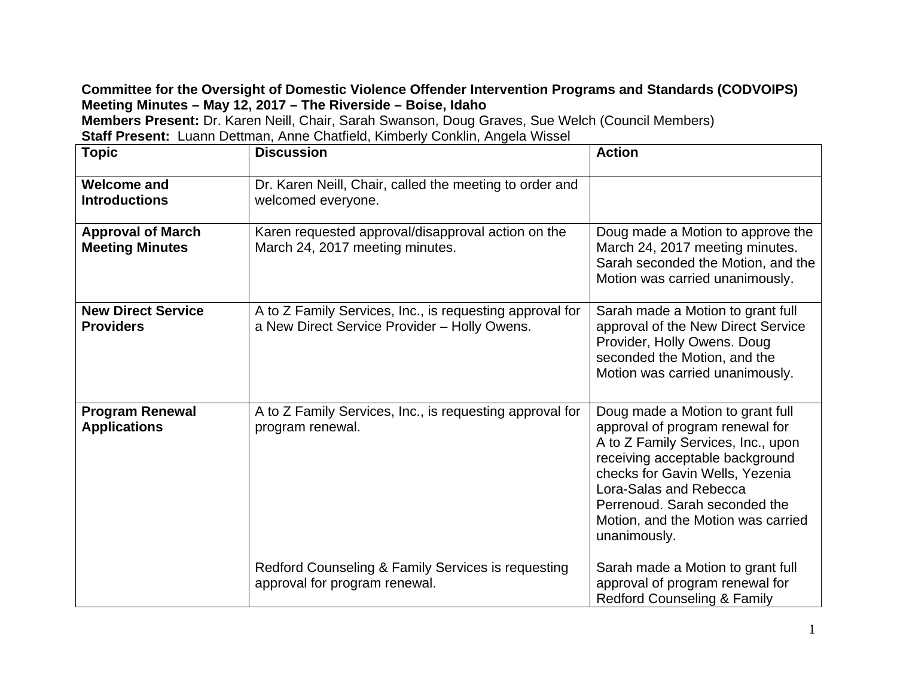## **Committee for the Oversight of Domestic Violence Offender Intervention Programs and Standards (CODVOIPS) Meeting Minutes – May 12, 2017 – The Riverside – Boise, Idaho**

**Members Present:** Dr. Karen Neill, Chair, Sarah Swanson, Doug Graves, Sue Welch (Council Members)

| <b>Staff Present:</b> Luann Dettman, Anne Chatfield, Kimberly Conklin, Angela Wissel |                                                                                                          |                                                                                                                                                                                                                                                                                                  |
|--------------------------------------------------------------------------------------|----------------------------------------------------------------------------------------------------------|--------------------------------------------------------------------------------------------------------------------------------------------------------------------------------------------------------------------------------------------------------------------------------------------------|
| <b>Topic</b>                                                                         | <b>Discussion</b>                                                                                        | <b>Action</b>                                                                                                                                                                                                                                                                                    |
| <b>Welcome and</b><br><b>Introductions</b>                                           | Dr. Karen Neill, Chair, called the meeting to order and<br>welcomed everyone.                            |                                                                                                                                                                                                                                                                                                  |
| <b>Approval of March</b><br><b>Meeting Minutes</b>                                   | Karen requested approval/disapproval action on the<br>March 24, 2017 meeting minutes.                    | Doug made a Motion to approve the<br>March 24, 2017 meeting minutes.<br>Sarah seconded the Motion, and the<br>Motion was carried unanimously.                                                                                                                                                    |
| <b>New Direct Service</b><br><b>Providers</b>                                        | A to Z Family Services, Inc., is requesting approval for<br>a New Direct Service Provider - Holly Owens. | Sarah made a Motion to grant full<br>approval of the New Direct Service<br>Provider, Holly Owens. Doug<br>seconded the Motion, and the<br>Motion was carried unanimously.                                                                                                                        |
| <b>Program Renewal</b><br><b>Applications</b>                                        | A to Z Family Services, Inc., is requesting approval for<br>program renewal.                             | Doug made a Motion to grant full<br>approval of program renewal for<br>A to Z Family Services, Inc., upon<br>receiving acceptable background<br>checks for Gavin Wells, Yezenia<br>Lora-Salas and Rebecca<br>Perrenoud. Sarah seconded the<br>Motion, and the Motion was carried<br>unanimously. |
|                                                                                      | Redford Counseling & Family Services is requesting<br>approval for program renewal.                      | Sarah made a Motion to grant full<br>approval of program renewal for<br><b>Redford Counseling &amp; Family</b>                                                                                                                                                                                   |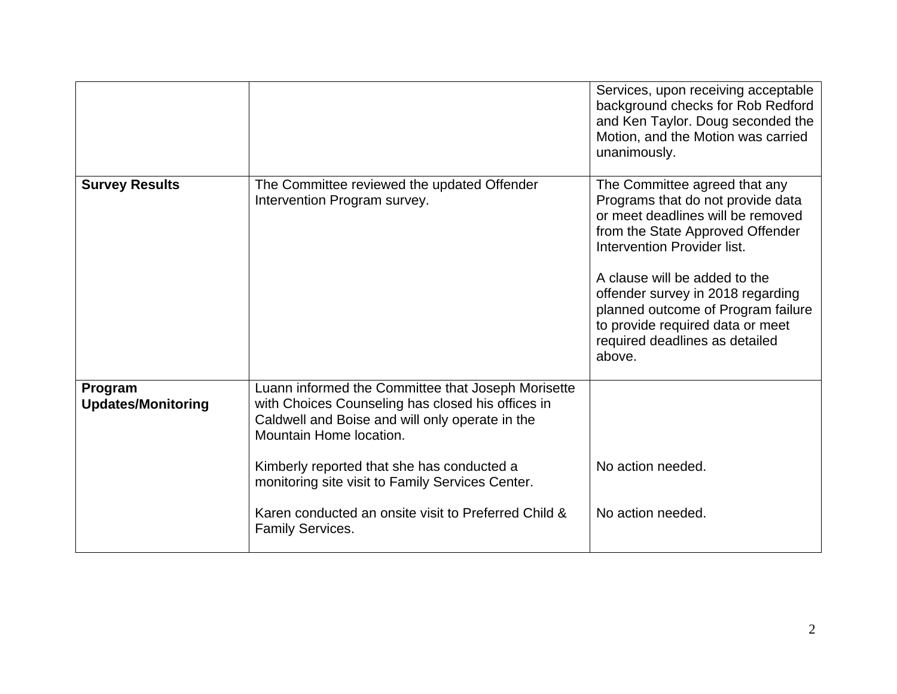|                                      |                                                                                                                                                                                                                                                                                                                                                                            | Services, upon receiving acceptable<br>background checks for Rob Redford<br>and Ken Taylor. Doug seconded the<br>Motion, and the Motion was carried<br>unanimously.                                                                                                                                                                                                    |
|--------------------------------------|----------------------------------------------------------------------------------------------------------------------------------------------------------------------------------------------------------------------------------------------------------------------------------------------------------------------------------------------------------------------------|------------------------------------------------------------------------------------------------------------------------------------------------------------------------------------------------------------------------------------------------------------------------------------------------------------------------------------------------------------------------|
| <b>Survey Results</b>                | The Committee reviewed the updated Offender<br>Intervention Program survey.                                                                                                                                                                                                                                                                                                | The Committee agreed that any<br>Programs that do not provide data<br>or meet deadlines will be removed<br>from the State Approved Offender<br>Intervention Provider list.<br>A clause will be added to the<br>offender survey in 2018 regarding<br>planned outcome of Program failure<br>to provide required data or meet<br>required deadlines as detailed<br>above. |
| Program<br><b>Updates/Monitoring</b> | Luann informed the Committee that Joseph Morisette<br>with Choices Counseling has closed his offices in<br>Caldwell and Boise and will only operate in the<br>Mountain Home location.<br>Kimberly reported that she has conducted a<br>monitoring site visit to Family Services Center.<br>Karen conducted an onsite visit to Preferred Child &<br><b>Family Services.</b> | No action needed.<br>No action needed.                                                                                                                                                                                                                                                                                                                                 |